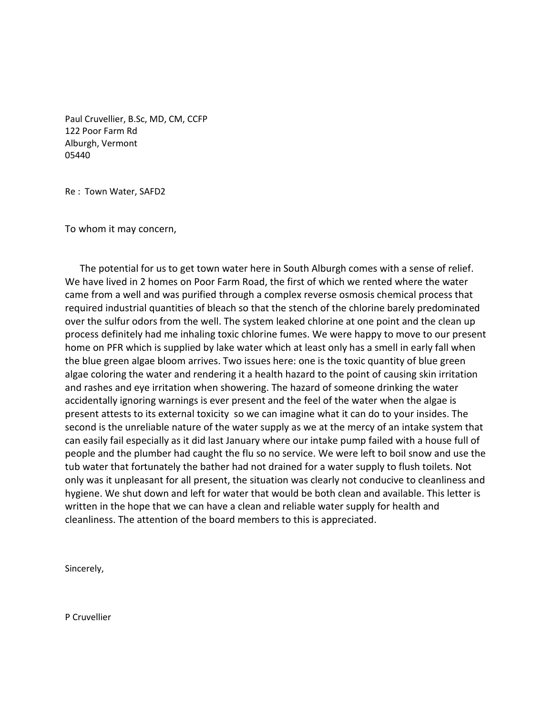Paul Cruvellier, B.Sc, MD, CM, CCFP 122 Poor Farm Rd Alburgh, Vermont 05440

Re : Town Water, SAFD2

To whom it may concern,

 The potential for us to get town water here in South Alburgh comes with a sense of relief. We have lived in 2 homes on Poor Farm Road, the first of which we rented where the water came from a well and was purified through a complex reverse osmosis chemical process that required industrial quantities of bleach so that the stench of the chlorine barely predominated over the sulfur odors from the well. The system leaked chlorine at one point and the clean up process definitely had me inhaling toxic chlorine fumes. We were happy to move to our present home on PFR which is supplied by lake water which at least only has a smell in early fall when the blue green algae bloom arrives. Two issues here: one is the toxic quantity of blue green algae coloring the water and rendering it a health hazard to the point of causing skin irritation and rashes and eye irritation when showering. The hazard of someone drinking the water accidentally ignoring warnings is ever present and the feel of the water when the algae is present attests to its external toxicity so we can imagine what it can do to your insides. The second is the unreliable nature of the water supply as we at the mercy of an intake system that can easily fail especially as it did last January where our intake pump failed with a house full of people and the plumber had caught the flu so no service. We were left to boil snow and use the tub water that fortunately the bather had not drained for a water supply to flush toilets. Not only was it unpleasant for all present, the situation was clearly not conducive to cleanliness and hygiene. We shut down and left for water that would be both clean and available. This letter is written in the hope that we can have a clean and reliable water supply for health and cleanliness. The attention of the board members to this is appreciated.

Sincerely,

P Cruvellier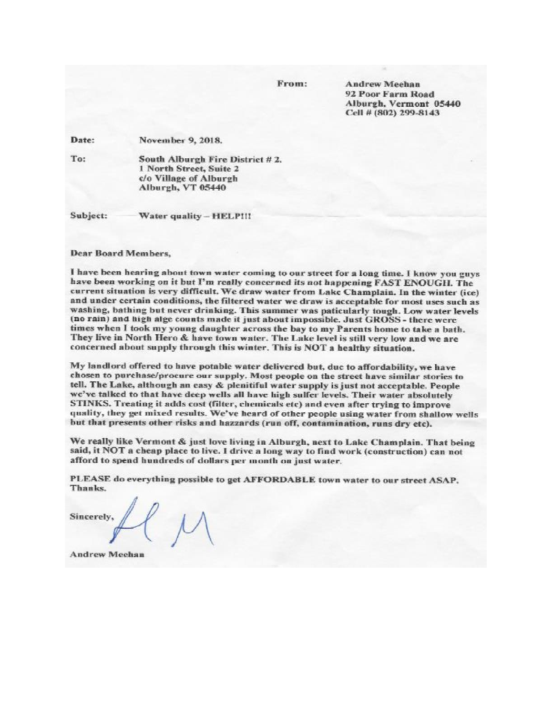From:

**Andrew Meehan** 92 Poor Farm Road Alburgh, Vermont 05440 Cell # (802) 299-8143

Date: November 9, 2018.

To: South Alburgh Fire District #2. 1 North Street, Suite 2 c/o Village of Alburgh Alburgh, VT 05440

Subject: Water quality - HELP!!!

**Dear Board Members,** 

I have been hearing about town water coming to our street for a long time. I know you guys have been working on it but I'm really concerned its not happening FAST ENOUGH. The current situation is very difficult. We draw water from Lake Champlain. In the winter (ice) and under certain conditions, the filtered water we draw is acceptable for most uses such as washing, bathing but never drinking. This summer was paticularly tough. Low water levels (no rain) and high alge counts made it just about impossible. Just GROSS - there were times when I took my young daughter across the bay to my Parents home to take a bath. They live in North Hero & have town water. The Lake level is still very low and we are concerned about supply through this winter. This is NOT a healthy situation.

My landlord offered to have potable water delivered but, due to affordability, we have chosen to purchase/procure our supply. Most people on the street have similar stories to tell. The Lake, although an easy & plenitiful water supply is just not acceptable. People we've talked to that have deep wells all have high sulfer levels. Their water absolutely STINKS. Treating it adds cost (filter, chemicals etc) and even after trying to improve quality, they get mixed results. We've heard of other people using water from shallow wells but that presents other risks and hazzards (run off, contamination, runs dry etc).

We really like Vermont & just love living in Alburgh, next to Lake Champlain. That being said, it NOT a cheap place to live. I drive a long way to find work (construction) can not afford to spend hundreds of dollars per month on just water.

PLEASE do everything possible to get AFFORDABLE town water to our street ASAP. Thanks.

Sincerely,

**Andrew Meehan**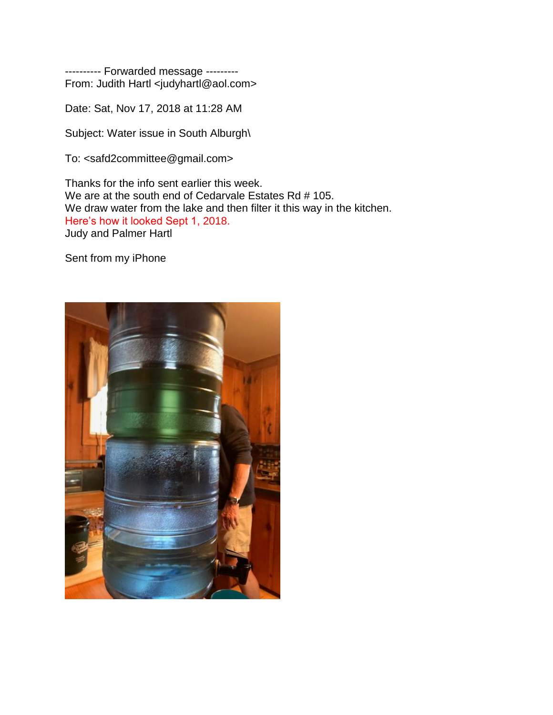---------- Forwarded message --------- From: Judith Hartl [<judyhartl@aol.com>](https://mail.yahoo.com/neo/b/compose?to=judyhartl@aol.com)

Date: Sat, Nov 17, 2018 at 11:28 AM

Subject: Water issue in South Alburgh\

To: [<safd2committee@gmail.com>](https://mail.yahoo.com/neo/b/compose?to=safd2committee@gmail.com)

Thanks for the info sent earlier this week. We are at the south end of Cedarvale Estates Rd # 105. We draw water from the lake and then filter it this way in the kitchen. Here's how it looked Sept 1, 2018. Judy and Palmer Hartl

Sent from my iPhone

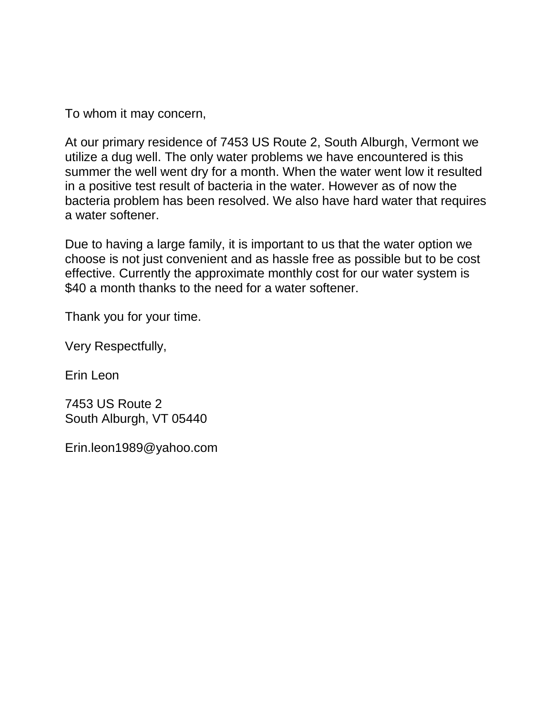To whom it may concern,

At our primary residence of 7453 US Route 2, South Alburgh, Vermont we utilize a dug well. The only water problems we have encountered is this summer the well went dry for a month. When the water went low it resulted in a positive test result of bacteria in the water. However as of now the bacteria problem has been resolved. We also have hard water that requires a water softener.

Due to having a large family, it is important to us that the water option we choose is not just convenient and as hassle free as possible but to be cost effective. Currently the approximate monthly cost for our water system is \$40 a month thanks to the need for a water softener.

Thank you for your time.

Very Respectfully,

Erin Leon

7453 US Route 2 South Alburgh, VT 05440

Erin.leon1989@yahoo.com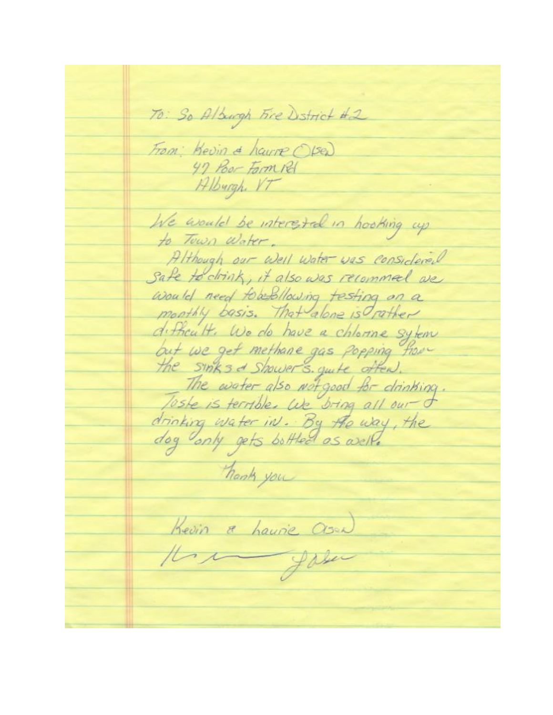70: So Alburgh Fire Dstrict #2 From: Kevin & hauvre (Se) 47 Poor Farm Pd Alburgh VT We would be interested in hooking up to Town Water. Although our Well Water was considered Safe to drink, it also was recommel we would need tobedlowing testing on a monthly basis. That alone is rather difficult. We do have a chlorine sylem but we get methane gas popping from Toste is terrible. We bring all our of drinking water in. By the way, the dog only gets bottled as well. hank you Kevin a haurie Asua)<br>Il 1 gabrier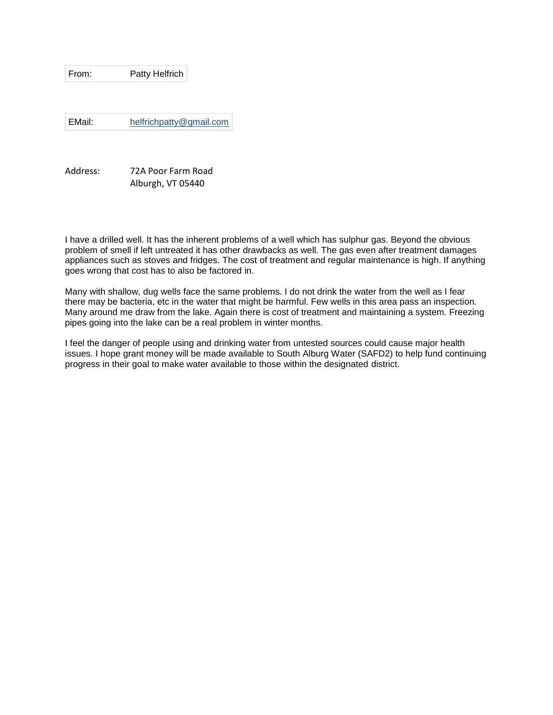From: Patty Helfrich

EMail: [helfrichpatty@gmail.com](mailto:helfrichpatty@gmail.com)

Address: 72A Poor Farm Road Alburgh, VT 05440

I have a drilled well. It has the inherent problems of a well which has sulphur gas. Beyond the obvious problem of smell if left untreated it has other drawbacks as well. The gas even after treatment damages appliances such as stoves and fridges. The cost of treatment and regular maintenance is high. If anything goes wrong that cost has to also be factored in.

Many with shallow, dug wells face the same problems. I do not drink the water from the well as I fear there may be bacteria, etc in the water that might be harmful. Few wells in this area pass an inspection. Many around me draw from the lake. Again there is cost of treatment and maintaining a system. Freezing pipes going into the lake can be a real problem in winter months.

I feel the danger of people using and drinking water from untested sources could cause major health issues. I hope grant money will be made available to South Alburg Water (SAFD2) to help fund continuing progress in their goal to make water available to those within the designated district.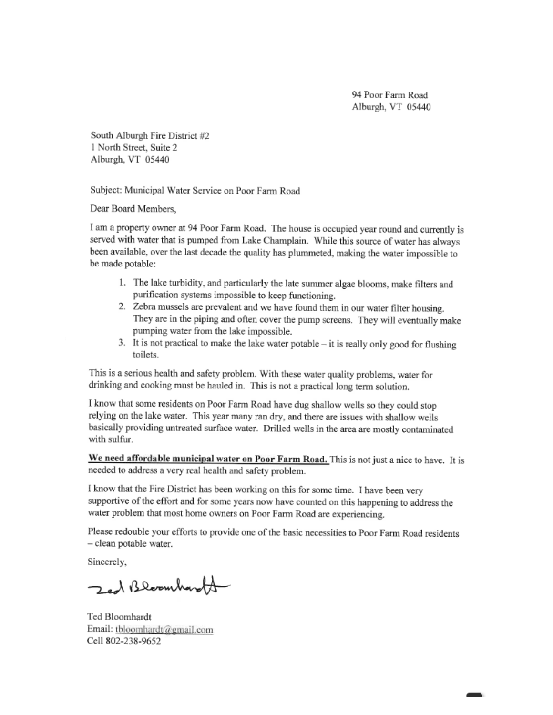94 Poor Farm Road Alburgh, VT 05440

South Alburgh Fire District #2 1 North Street, Suite 2 Alburgh, VT 05440

Subject: Municipal Water Service on Poor Farm Road

Dear Board Members,

I am a property owner at 94 Poor Farm Road. The house is occupied year round and currently is served with water that is pumped from Lake Champlain. While this source of water has always been available, over the last decade the quality has plummeted, making the water impossible to be made potable:

- 1. The lake turbidity, and particularly the late summer algae blooms, make filters and purification systems impossible to keep functioning.
- 2. Zebra mussels are prevalent and we have found them in our water filter housing. They are in the piping and often cover the pump screens. They will eventually make pumping water from the lake impossible.
- 3. It is not practical to make the lake water potable  $-$  it is really only good for flushing toilets.

This is a serious health and safety problem. With these water quality problems, water for drinking and cooking must be hauled in. This is not a practical long term solution.

I know that some residents on Poor Farm Road have dug shallow wells so they could stop relying on the lake water. This year many ran dry, and there are issues with shallow wells basically providing untreated surface water. Drilled wells in the area are mostly contaminated with sulfur.

We need affordable municipal water on Poor Farm Road. This is not just a nice to have. It is needed to address a very real health and safety problem.

I know that the Fire District has been working on this for some time. I have been very supportive of the effort and for some years now have counted on this happening to address the water problem that most home owners on Poor Farm Road are experiencing.

Please redouble your efforts to provide one of the basic necessities to Poor Farm Road residents - clean potable water.

Sincerely,

Jed Bleemharts

Ted Bloomhardt Email: tbloomhardt@gmail.com Cell 802-238-9652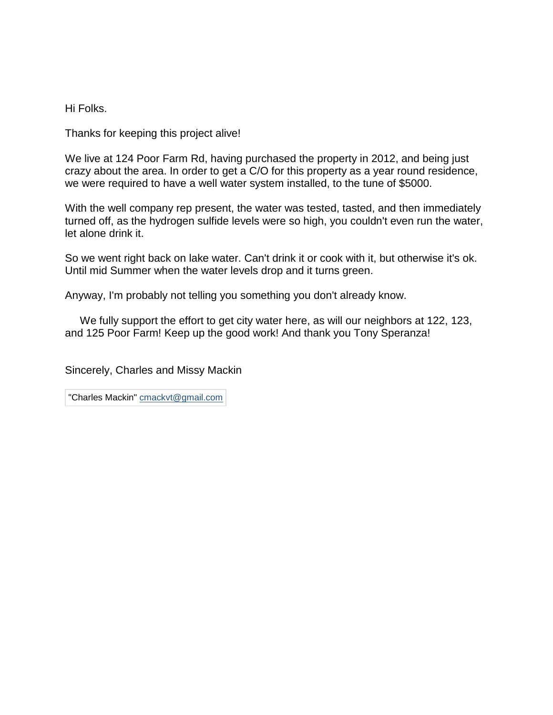Hi Folks.

Thanks for keeping this project alive!

We live at 124 Poor Farm Rd, having purchased the property in 2012, and being just crazy about the area. In order to get a C/O for this property as a year round residence, we were required to have a well water system installed, to the tune of \$5000.

With the well company rep present, the water was tested, tasted, and then immediately turned off, as the hydrogen sulfide levels were so high, you couldn't even run the water, let alone drink it.

So we went right back on lake water. Can't drink it or cook with it, but otherwise it's ok. Until mid Summer when the water levels drop and it turns green.

Anyway, I'm probably not telling you something you don't already know.

We fully support the effort to get city water here, as will our neighbors at 122, 123, and 125 Poor Farm! Keep up the good work! And thank you Tony Speranza!

Sincerely, Charles and Missy Mackin

"Charles Mackin" [cmackvt@gmail.com](mailto:cmackvt@gmail.com)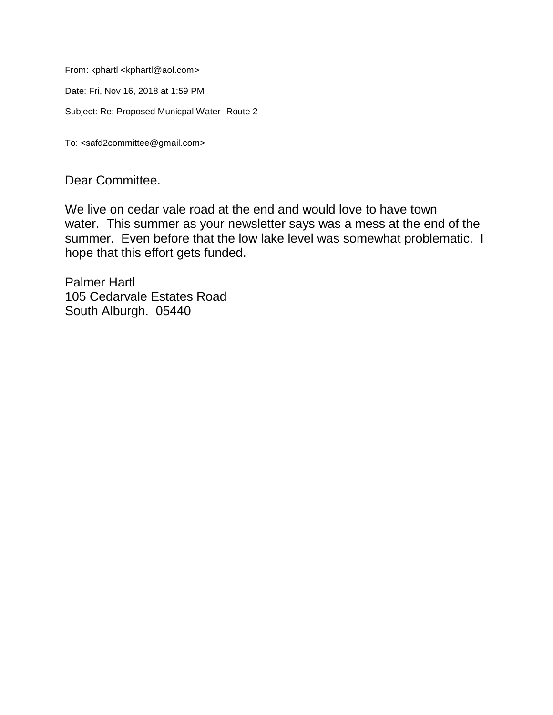From: kphartl [<kphartl@aol.com>](https://mail.yahoo.com/neo/b/compose?to=kphartl@aol.com)

Date: Fri, Nov 16, 2018 at 1:59 PM

Subject: Re: Proposed Municpal Water- Route 2

To: [<safd2committee@gmail.com>](https://mail.yahoo.com/neo/b/compose?to=safd2committee@gmail.com)

Dear Committee.

We live on cedar vale road at the end and would love to have town water. This summer as your newsletter says was a mess at the end of the summer. Even before that the low lake level was somewhat problematic. I hope that this effort gets funded.

Palmer Hartl 105 Cedarvale Estates Road South Alburgh. 05440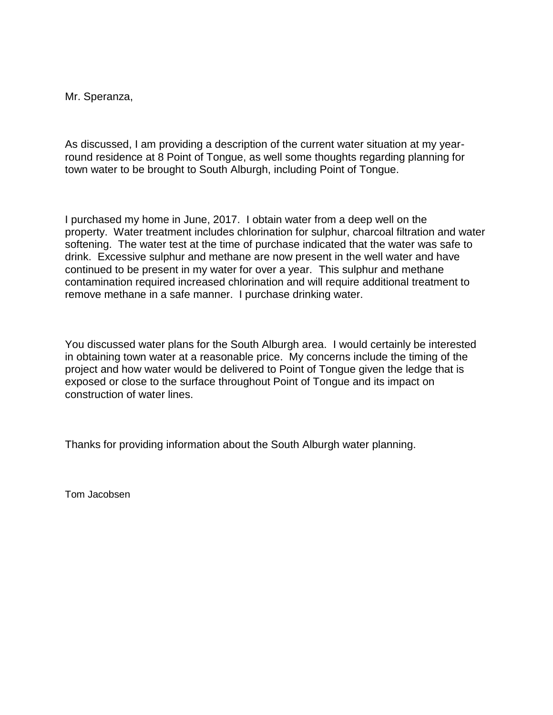Mr. Speranza,

As discussed, I am providing a description of the current water situation at my yearround residence at 8 Point of Tongue, as well some thoughts regarding planning for town water to be brought to South Alburgh, including Point of Tongue.

I purchased my home in June, 2017. I obtain water from a deep well on the property. Water treatment includes chlorination for sulphur, charcoal filtration and water softening. The water test at the time of purchase indicated that the water was safe to drink. Excessive sulphur and methane are now present in the well water and have continued to be present in my water for over a year. This sulphur and methane contamination required increased chlorination and will require additional treatment to remove methane in a safe manner. I purchase drinking water.

You discussed water plans for the South Alburgh area. I would certainly be interested in obtaining town water at a reasonable price. My concerns include the timing of the project and how water would be delivered to Point of Tongue given the ledge that is exposed or close to the surface throughout Point of Tongue and its impact on construction of water lines.

Thanks for providing information about the South Alburgh water planning.

Tom Jacobsen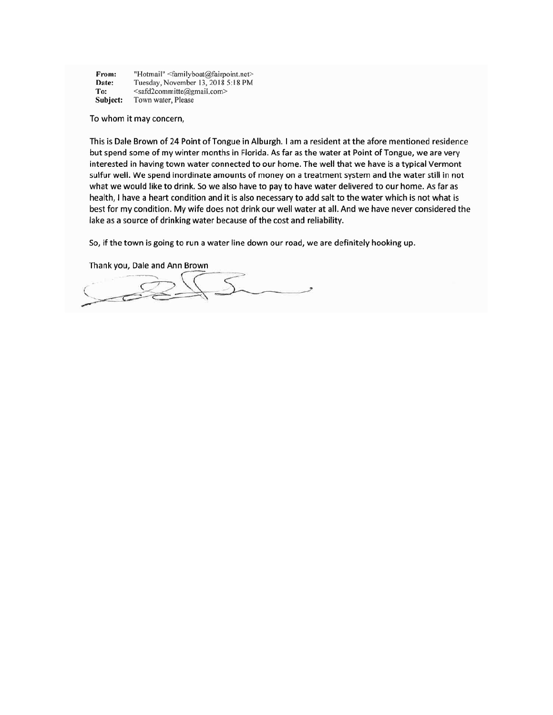| From:    | "Hotmail" <familyboat@fairpoint.net></familyboat@fairpoint.net> |
|----------|-----------------------------------------------------------------|
| Date:    | Tuesday, November 13, 2018 5:18 PM                              |
| To:      | <safd2committe@gmail.com></safd2committe@gmail.com>             |
| Subject: | Town water, Please                                              |

To whom it may concern,

This is Dale Brown of 24 Point of Tongue in Alburgh. I am a resident at the afore mentioned residence but spend some of my winter months in Florida. As far as the water at Point of Tongue, we are very interested in having town water connected to our home. The well that we have is a typical Vermont sulfur well. We spend inordinate amounts of money on a treatment system and the water still in not what we would like to drink. So we also have to pay to have water delivered to our home. As far as health, I have a heart condition and it is also necessary to add salt to the water which is not what is best for my condition. My wife does not drink our well water at all. And we have never considered the lake as a source of drinking water because of the cost and reliability.

So, if the town is going to run a water line down our road, we are definitely hooking up.

Thank you, Dale and Ann Brown

 $\sum_{i=1}^{n}$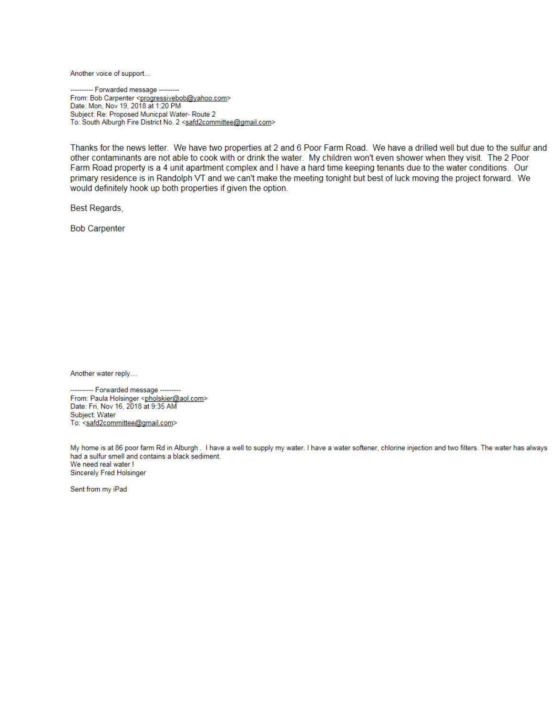Another voice of support...

-- Forwarded message ---------From: Bob Carpenter <progressivebob@yahoo.com><br>Date: Mon, Nov 19, 2018 at 1:20 PM Subject: Re: Proposed Municpal Water- Route 2 To: South Alburgh Fire District No. 2 <safd2committee@gmail.com>

Thanks for the news letter. We have two properties at 2 and 6 Poor Farm Road. We have a drilled well but due to the sulfur and other contaminants are not able to cook with or drink the water. My children won't even shower when they visit. The 2 Poor Farm Road property is a 4 unit apartment complex and I have a hard time keeping tenants due to the water conditions. Our primary residence is in Randolph VT and we can't make the meeting tonight but best of luck moving the project forward. We would definitely hook up both properties if given the option.

**Best Regards,** 

**Bob Carpenter** 

Another water reply....

---------- Forwarded message ---------From: Paula Holsinger <pholskier@aol.com> Date: Fri, Nov 16, 2018 at 9:35 AM Subject: Water To: <safd2committee@gmail.com>

My home is at 86 poor farm Rd in Alburgh . I have a well to supply my water. I have a water softener, chlorine injection and two filters. The water has always had a sulfur smell and contains a black sediment. We need real water ! Sincerely Fred Holsinger

Sent from my iPad